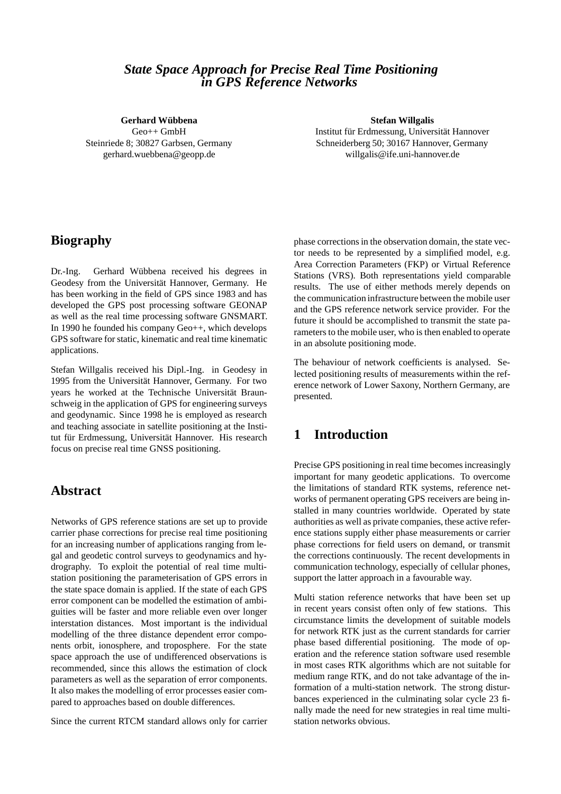### *State Space Approach for Precise Real Time Positioning in GPS Reference Networks*

#### **Gerhard Wübbena**

Geo++ GmbH Steinriede 8; 30827 Garbsen, Germany gerhard.wuebbena@geopp.de

**Stefan Willgalis** Institut für Erdmessung, Universität Hannover Schneiderberg 50; 30167 Hannover, Germany willgalis@ife.uni-hannover.de

## **Biography**

Dr.-Ing. Gerhard Wübbena received his degrees in Geodesy from the Universität Hannover, Germany. He has been working in the field of GPS since 1983 and has developed the GPS post processing software GEONAP as well as the real time processing software GNSMART. In 1990 he founded his company Geo++, which develops GPS software for static, kinematic and real time kinematic applications.

Stefan Willgalis received his Dipl.-Ing. in Geodesy in 1995 from the Universität Hannover, Germany. For two years he worked at the Technische Universität Braunschweig in the application of GPS for engineering surveys and geodynamic. Since 1998 he is employed as research and teaching associate in satellite positioning at the Institut für Erdmessung, Universität Hannover. His research focus on precise real time GNSS positioning.

# **Abstract**

Networks of GPS reference stations are set up to provide carrier phase corrections for precise real time positioning for an increasing number of applications ranging from legal and geodetic control surveys to geodynamics and hydrography. To exploit the potential of real time multistation positioning the parameterisation of GPS errors in the state space domain is applied. If the state of each GPS error component can be modelled the estimation of ambiguities will be faster and more reliable even over longer interstation distances. Most important is the individual modelling of the three distance dependent error components orbit, ionosphere, and troposphere. For the state space approach the use of undifferenced observations is recommended, since this allows the estimation of clock parameters as well as the separation of error components. It also makes the modelling of error processes easier compared to approaches based on double differences.

Since the current RTCM standard allows only for carrier

phase corrections in the observation domain, the state vector needs to be represented by a simplified model, e.g. Area Correction Parameters (FKP) or Virtual Reference Stations (VRS). Both representations yield comparable results. The use of either methods merely depends on the communication infrastructure between the mobile user and the GPS reference network service provider. For the future it should be accomplished to transmit the state parameters to the mobile user, who is then enabled to operate in an absolute positioning mode.

The behaviour of network coefficients is analysed. Selected positioning results of measurements within the reference network of Lower Saxony, Northern Germany, are presented.

# **1 Introduction**

Precise GPS positioning in real time becomes increasingly important for many geodetic applications. To overcome the limitations of standard RTK systems, reference networks of permanent operating GPS receivers are being installed in many countries worldwide. Operated by state authorities as well as private companies, these active reference stations supply either phase measurements or carrier phase corrections for field users on demand, or transmit the corrections continuously. The recent developments in communication technology, especially of cellular phones, support the latter approach in a favourable way.

Multi station reference networks that have been set up in recent years consist often only of few stations. This circumstance limits the development of suitable models for network RTK just as the current standards for carrier phase based differential positioning. The mode of operation and the reference station software used resemble in most cases RTK algorithms which are not suitable for medium range RTK, and do not take advantage of the information of a multi-station network. The strong disturbances experienced in the culminating solar cycle 23 finally made the need for new strategies in real time multistation networks obvious.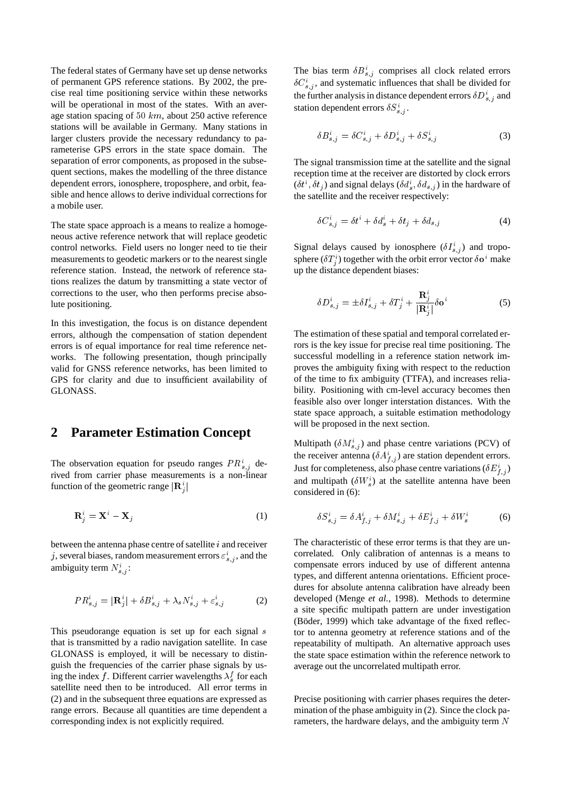The federal states of Germany have set up dense networks of permanent GPS reference stations. By 2002, the precise real time positioning service within these networks will be operational in most of the states. With an average station spacing of <sup>50</sup> km, about 250 active reference stations will be available in Germany. Many stations in larger clusters provide the necessary redundancy to parameterise GPS errors in the state space domain. The separation of error components, as proposed in the subsequent sections, makes the modelling of the three distance dependent errors, ionosphere, troposphere, and orbit, feasible and hence allows to derive individual corrections for a mobile user.

The state space approach is a means to realize a homogeneous active reference network that will replace geodetic control networks. Field users no longer need to tie their measurements to geodetic markers or to the nearest single reference station. Instead, the network of reference stations realizes the datum by transmitting a state vector of corrections to the user, who then performs precise absolute positioning.

In this investigation, the focus is on distance dependent errors, although the compensation of station dependent errors is of equal importance for real time reference networks. The following presentation, though principally valid for GNSS reference networks, has been limited to GPS for clarity and due to insufficient availability of GLONASS.

#### **2 Parameter Estimation Concept**

The observation equation for pseudo ranges  $PR_{s,j}^{i}$  derived from carrier phase measurements is a non-linear function of the geometric range  $|\mathbf{R}_i^i|$  $\mathbf{J}$  is a set of the set of the set of the set of the set of the set of the set of the set of the set of the set of the set of the set of the set of the set of the set of the set of the set of the set of the set of th

$$
\mathbf{R}_j^i = \mathbf{X}^i - \mathbf{X}_j \tag{1}
$$

between the antenna phase centre of satellite  $i$  and receiver j, several biases, random measurement errors  $\varepsilon_{s,j}^{i}$ , and the ambiguity term  $N_{s,j}^i$ :

$$
PR_{s,j}^i = |\mathbf{R}_j^i| + \delta B_{s,j}^i + \lambda_s N_{s,j}^i + \varepsilon_{s,j}^i \tag{2}
$$

This pseudorange equation is set up for each signal  $s$ that is transmitted by a radio navigation satellite. In case GLONASS is employed, it will be necessary to distinguish the frequencies of the carrier phase signals by using the index f. Different carrier wavelengths  $\lambda_s^f$  for each satellite need then to be introduced. All error terms in (2) and in the subsequent three equations are expressed as range errors. Because all quantities are time dependent a corresponding index is not explicitly required.

The bias term  $\delta B_{s,j}^{i}$  comprises all clock related errors  $\delta C_{s,j}^{i}$ , and systematic influences that shall be divided for the further analysis in distance dependent errors  $\delta D_{s,j}^{i}$  and station dependent errors  $\delta S_{s,j}^i$ .

$$
\delta B_{s,j}^i = \delta C_{s,j}^i + \delta D_{s,j}^i + \delta S_{s,j}^i \tag{3}
$$

The signal transmission time at the satellite and the signal reception time at the receiver are distorted by clock errors  $(\delta t^i, \delta t_j)$  and signal delays  $(\delta d_s^i, \delta d_{s,j})$  in the hardware of the satellite and the receiver respectively:

$$
\delta C_{s,j}^i = \delta t^i + \delta d_s^i + \delta t_j + \delta d_{s,j} \tag{4}
$$

Signal delays caused by ionosphere  $(\delta I_{s,i}^i)$  and troposphere  $(\delta T_i^i)$  together with the orbit error vector  $\delta \mathbf{o}^i$  make <sup>j</sup> up the distance dependent biases:

$$
\delta D_{s,j}^i = \pm \delta I_{s,j}^i + \delta T_j^i + \frac{\mathbf{R}_j^i}{|\mathbf{R}_j^i|} \delta \mathbf{o}^i
$$
 (5)

The estimation of these spatial and temporal correlated errors is the key issue for precise real time positioning. The successful modelling in a reference station network improves the ambiguity fixing with respect to the reduction of the time to fix ambiguity (TTFA), and increases reliability. Positioning with cm-level accuracy becomes then feasible also over longer interstation distances. With the state space approach, a suitable estimation methodology will be proposed in the next section.

Multipath  $(\delta M_{s,j}^i)$  and phase centre variations (PCV) of the receiver antenna ( $\delta A_{f,j}^{i}$ ) are station dependent errors. Just for completeness, also phase centre variations ( $\delta E_{f,j}^i$ ) and multipath ( $\delta W_s^i$ ) at the satellite antenna have been considered in (6):

$$
\delta S_{s,j}^i = \delta A_{f,j}^i + \delta M_{s,j}^i + \delta E_{f,j}^i + \delta W_s^i \tag{6}
$$

The characteristic of these error terms is that they are uncorrelated. Only calibration of antennas is a means to compensate errors induced by use of different antenna types, and different antenna orientations. Efficient procedures for absolute antenna calibration have already been developed (Menge *et al.*, 1998). Methods to determine a site specific multipath pattern are under investigation (Böder, 1999) which take advantage of the fixed reflector to antenna geometry at reference stations and of the repeatability of multipath. An alternative approach uses the state space estimation within the reference network to average out the uncorrelated multipath error.

Precise positioning with carrier phases requires the determination of the phase ambiguity in (2). Since the clock parameters, the hardware delays, and the ambiguity term N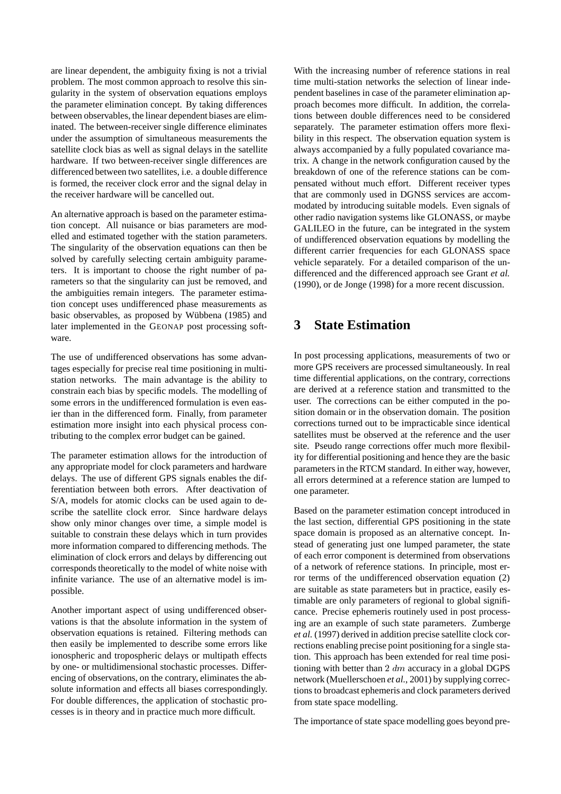are linear dependent, the ambiguity fixing is not a trivial problem. The most common approach to resolve this singularity in the system of observation equations employs the parameter elimination concept. By taking differences between observables, the linear dependent biases are eliminated. The between-receiver single difference eliminates under the assumption of simultaneous measurements the satellite clock bias as well as signal delays in the satellite hardware. If two between-receiver single differences are differenced between two satellites, i.e. a double difference is formed, the receiver clock error and the signal delay in the receiver hardware will be cancelled out.

An alternative approach is based on the parameter estimation concept. All nuisance or bias parameters are modelled and estimated together with the station parameters. The singularity of the observation equations can then be solved by carefully selecting certain ambiguity parameters. It is important to choose the right number of parameters so that the singularity can just be removed, and the ambiguities remain integers. The parameter estimation concept uses undifferenced phase measurements as basic observables, as proposed by Wübbena (1985) and later implemented in the GEONAP post processing software.

The use of undifferenced observations has some advantages especially for precise real time positioning in multistation networks. The main advantage is the ability to constrain each bias by specific models. The modelling of some errors in the undifferenced formulation is even easier than in the differenced form. Finally, from parameter estimation more insight into each physical process contributing to the complex error budget can be gained.

The parameter estimation allows for the introduction of any appropriate model for clock parameters and hardware delays. The use of different GPS signals enables the differentiation between both errors. After deactivation of S/A, models for atomic clocks can be used again to describe the satellite clock error. Since hardware delays show only minor changes over time, a simple model is suitable to constrain these delays which in turn provides more information compared to differencing methods. The elimination of clock errors and delays by differencing out corresponds theoretically to the model of white noise with infinite variance. The use of an alternative model is impossible.

Another important aspect of using undifferenced observations is that the absolute information in the system of observation equations is retained. Filtering methods can then easily be implemented to describe some errors like ionospheric and tropospheric delays or multipath effects by one- or multidimensional stochastic processes. Differencing of observations, on the contrary, eliminates the absolute information and effects all biases correspondingly. For double differences, the application of stochastic processes is in theory and in practice much more difficult.

With the increasing number of reference stations in real time multi-station networks the selection of linear independent baselines in case of the parameter elimination approach becomes more difficult. In addition, the correlations between double differences need to be considered separately. The parameter estimation offers more flexibility in this respect. The observation equation system is always accompanied by a fully populated covariance matrix. A change in the network configuration caused by the breakdown of one of the reference stations can be compensated without much effort. Different receiver types that are commonly used in DGNSS services are accommodated by introducing suitable models. Even signals of other radio navigation systems like GLONASS, or maybe GALILEO in the future, can be integrated in the system of undifferenced observation equations by modelling the different carrier frequencies for each GLONASS space vehicle separately. For a detailed comparison of the undifferenced and the differenced approach see Grant *et al.* (1990), or de Jonge (1998) for a more recent discussion.

# **3 State Estimation**

In post processing applications, measurements of two or more GPS receivers are processed simultaneously. In real time differential applications, on the contrary, corrections are derived at a reference station and transmitted to the user. The corrections can be either computed in the position domain or in the observation domain. The position corrections turned out to be impracticable since identical satellites must be observed at the reference and the user site. Pseudo range corrections offer much more flexibility for differential positioning and hence they are the basic parameters in the RTCM standard. In either way, however, all errors determined at a reference station are lumped to one parameter.

Based on the parameter estimation concept introduced in the last section, differential GPS positioning in the state space domain is proposed as an alternative concept. Instead of generating just one lumped parameter, the state of each error component is determined from observations of a network of reference stations. In principle, most error terms of the undifferenced observation equation (2) are suitable as state parameters but in practice, easily estimable are only parameters of regional to global significance. Precise ephemeris routinely used in post processing are an example of such state parameters. Zumberge *et al.* (1997) derived in addition precise satellite clock corrections enabling precise point positioning for a single station. This approach has been extended for real time positioning with better than 2  $dm$  accuracy in a global DGPS network (Muellerschoen *et al.*, 2001) by supplying corrections to broadcast ephemeris and clock parameters derived from state space modelling.

The importance of state space modelling goes beyond pre-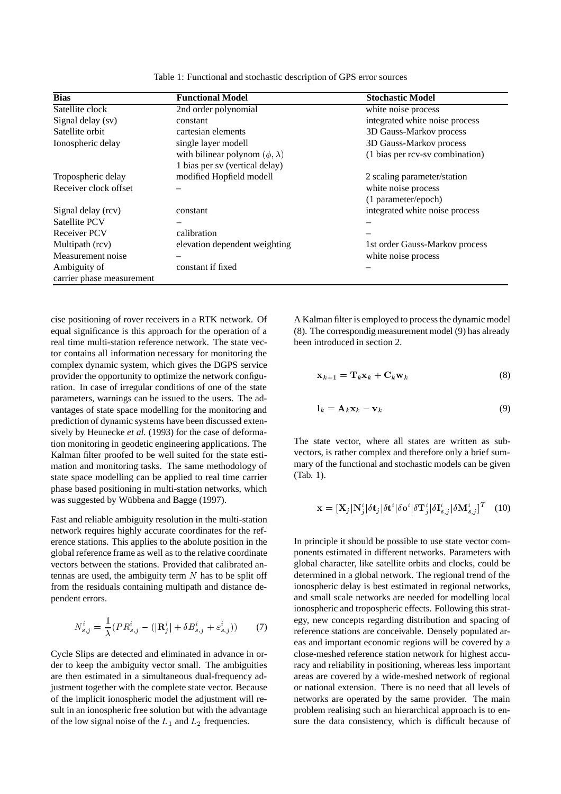| <b>Bias</b>               | <b>Functional Model</b>                 | <b>Stochastic Model</b>         |
|---------------------------|-----------------------------------------|---------------------------------|
| Satellite clock           | 2nd order polynomial                    | white noise process             |
| Signal delay (sv)         | constant                                | integrated white noise process  |
| Satellite orbit           | cartesian elements                      | 3D Gauss-Markov process         |
| Ionospheric delay         | single layer modell                     | 3D Gauss-Markov process         |
|                           | with bilinear polynom $(\phi, \lambda)$ | (1 bias per rcv-sv combination) |
|                           | 1 bias per sv (vertical delay)          |                                 |
| Tropospheric delay        | modified Hopfield modell                | 2 scaling parameter/station     |
| Receiver clock offset     |                                         | white noise process             |
|                           |                                         | (1 parameter/epoch)             |
| Signal delay (rcv)        | constant                                | integrated white noise process  |
| Satellite PCV             |                                         |                                 |
| Receiver PCV              | calibration                             |                                 |
| Multipath (rcv)           | elevation dependent weighting           | 1st order Gauss-Markov process  |
| Measurement noise         |                                         | white noise process             |
| Ambiguity of              | constant if fixed                       |                                 |
| carrier phase measurement |                                         |                                 |

Table 1: Functional and stochastic description of GPS error sources

cise positioning of rover receivers in a RTK network. Of equal significance is this approach for the operation of a real time multi-station reference network. The state vector contains all information necessary for monitoring the complex dynamic system, which gives the DGPS service provider the opportunity to optimize the network configuration. In case of irregular conditions of one of the state parameters, warnings can be issued to the users. The advantages of state space modelling for the monitoring and prediction of dynamic systems have been discussed extensively by Heunecke *et al.* (1993) for the case of deformation monitoring in geodetic engineering applications. The Kalman filter proofed to be well suited for the state estimation and monitoring tasks. The same methodology of state space modelling can be applied to real time carrier phase based positioning in multi-station networks, which was suggested by Wübbena and Bagge (1997).

Fast and reliable ambiguity resolution in the multi-station network requires highly accurate coordinates for the reference stations. This applies to the abolute position in the global reference frame as well as to the relative coordinate vectors between the stations. Provided that calibrated antennas are used, the ambiguity term  $N$  has to be split off from the residuals containing multipath and distance dependent errors.

$$
N_{s,j}^i = \frac{1}{\lambda} (PR_{s,j}^i - (|\mathbf{R}_j^i| + \delta B_{s,j}^i + \varepsilon_{s,j}^i))
$$
 (7)

Cycle Slips are detected and eliminated in advance in order to keep the ambiguity vector small. The ambiguities are then estimated in a simultaneous dual-frequency adjustment together with the complete state vector. Because of the implicit ionospheric model the adjustment will result in an ionospheric free solution but with the advantage of the low signal noise of the  $L_1$  and  $L_2$  frequencies.

A Kalman filter is employed to process the dynamic model (8). The correspondig measurement model (9) has already been introduced in section 2.

$$
\mathbf{x}_{k+1} = \mathbf{T}_k \mathbf{x}_k + \mathbf{C}_k \mathbf{w}_k \tag{8}
$$

$$
\mathbf{l}_k = \mathbf{A}_k \mathbf{x}_k - \mathbf{v}_k \tag{9}
$$

The state vector, where all states are written as subvectors, is rather complex and therefore only a brief summary of the functional and stochastic models can be given (Tab. 1).

<sup>j</sup>

$$
\mathbf{x} = [\mathbf{X}_j | \mathbf{N}_j^i | \delta \mathbf{t}_j | \delta \mathbf{t}^i | \delta \mathbf{o}^i | \delta \mathbf{T}_j^i | \delta \mathbf{I}_{s,j}^i | \delta \mathbf{M}_{s,j}^i]^T \quad (10)
$$

 $j$  is the set of  $j$ 

In principle it should be possible to use state vector components estimated in different networks. Parameters with global character, like satellite orbits and clocks, could be determined in a global network. The regional trend of the ionospheric delay is best estimated in regional networks, and small scale networks are needed for modelling local ionospheric and tropospheric effects. Following this strategy, new concepts regarding distribution and spacing of reference stations are conceivable. Densely populated areas and important economic regions will be covered by a close-meshed reference station network for highest accuracy and reliability in positioning, whereas less important areas are covered by a wide-meshed network of regional or national extension. There is no need that all levels of networks are operated by the same provider. The main problem realising such an hierarchical approach is to ensure the data consistency, which is difficult because of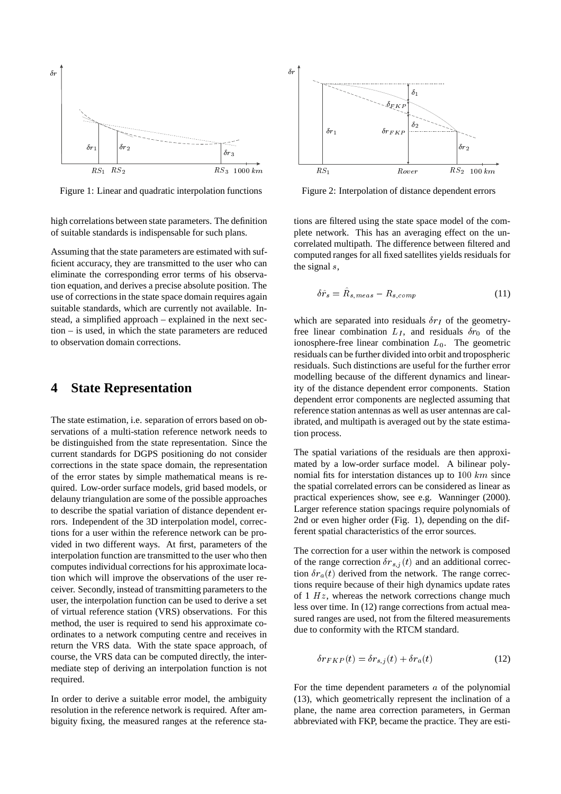

Figure 1: Linear and quadratic interpolation functions

high correlations between state parameters. The definition of suitable standards is indispensable for such plans.

Assuming that the state parameters are estimated with sufficient accuracy, they are transmitted to the user who can eliminate the corresponding error terms of his observation equation, and derives a precise absolute position. The use of corrections in the state space domain requires again suitable standards, which are currently not available. Instead, a simplified approach – explained in the next section – is used, in which the state parameters are reduced to observation domain corrections.

#### **4 State Representation**

The state estimation, i.e. separation of errors based on observations of a multi-station reference network needs to be distinguished from the state representation. Since the current standards for DGPS positioning do not consider corrections in the state space domain, the representation of the error states by simple mathematical means is required. Low-order surface models, grid based models, or delauny triangulation are some of the possible approaches to describe the spatial variation of distance dependent errors. Independent of the 3D interpolation model, corrections for a user within the reference network can be provided in two different ways. At first, parameters of the interpolation function are transmitted to the user who then computes individual corrections for his approximate location which will improve the observations of the user receiver. Secondly, instead of transmitting parameters to the user, the interpolation function can be used to derive a set of virtual reference station (VRS) observations. For this method, the user is required to send his approximate coordinates to a network computing centre and receives in return the VRS data. With the state space approach, of course, the VRS data can be computed directly, the intermediate step of deriving an interpolation function is not required.

In order to derive a suitable error model, the ambiguity resolution in the reference network is required. After ambiguity fixing, the measured ranges at the reference sta-



Figure 2: Interpolation of distance dependent errors

tions are filtered using the state space model of the complete network. This has an averaging effect on the uncorrelated multipath. The difference between filtered and computed ranges for all fixed satellites yields residuals for the signal s,

$$
\delta\hat{r}_s = \hat{R}_{s,meas} - R_{s,comp} \tag{11}
$$

which are separated into residuals  $\delta r_I$  of the geometryfree linear combination  $L<sub>I</sub>$ , and residuals  $\delta r_0$  of the ionosphere-free linear combination  $L_0$ . The geometric residuals can be further divided into orbit and tropospheric residuals. Such distinctions are useful for the further error modelling because of the different dynamics and linearity of the distance dependent error components. Station dependent error components are neglected assuming that reference station antennas as well as user antennas are calibrated, and multipath is averaged out by the state estimation process.

The spatial variations of the residuals are then approximated by a low-order surface model. A bilinear polynomial fits for interstation distances up to <sup>100</sup> km since the spatial correlated errors can be considered as linear as practical experiences show, see e.g. Wanninger (2000). Larger reference station spacings require polynomials of 2nd or even higher order (Fig. 1), depending on the different spatial characteristics of the error sources.

The correction for a user within the network is composed of the range correction  $\delta r_{s,j} (t)$  and an additional correction  $\delta r_a(t)$  derived from the network. The range corrections require because of their high dynamics update rates of 1  $Hz$ , whereas the network corrections change much less over time. In (12) range corrections from actual measured ranges are used, not from the filtered measurements due to conformity with the RTCM standard.

$$
\delta r_{FKP}(t) = \delta r_{s,j}(t) + \delta r_a(t) \tag{12}
$$

For the time dependent parameters a of the polynomial (13), which geometrically represent the inclination of a plane, the name area correction parameters, in German abbreviated with FKP, became the practice. They are esti-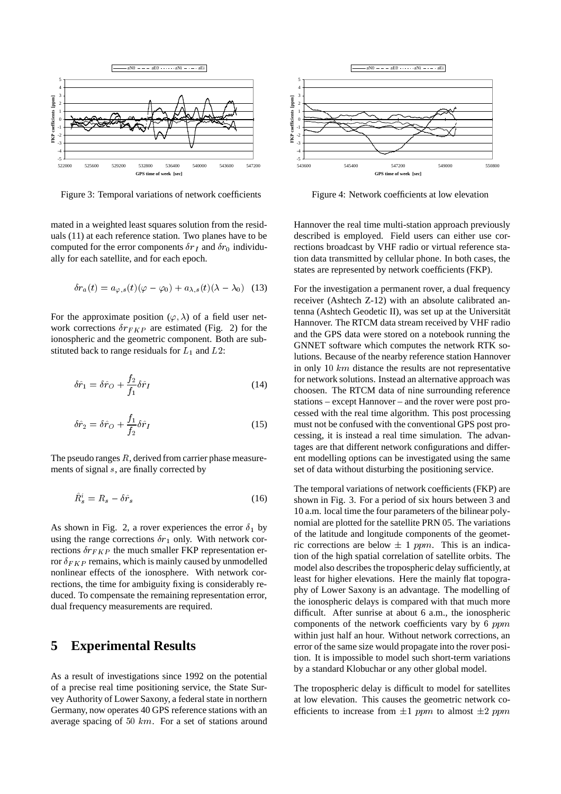

Figure 3: Temporal variations of network coefficients

mated in a weighted least squares solution from the residuals (11) at each reference station. Two planes have to be computed for the error components  $\delta r_I$  and  $\delta r_0$  individually for each satellite, and for each epoch.

$$
\delta r_a(t) = a_{\varphi,s}(t)(\varphi - \varphi_0) + a_{\lambda,s}(t)(\lambda - \lambda_0) \quad (13)
$$

For the approximate position  $(\varphi, \lambda)$  of a field user network corrections  $\delta r_{FKP}$  are estimated (Fig. 2) for the ionospheric and the geometric component. Both are substituted back to range residuals for  $L_1$  and  $L_2$ :

$$
\delta\hat{r}_1 = \delta\hat{r}_O + \frac{f_2}{f_1}\delta\hat{r}_I \tag{14}
$$

$$
\delta\hat{r}_2 = \delta\hat{r}_O + \frac{f_1}{f_2}\delta\hat{r}_I \tag{15}
$$

The pseudo ranges  $R$ , derived from carrier phase measurements of signal <sup>s</sup>, are finally corrected by

$$
\ddot{R}_s^i = R_s - \delta \hat{r}_s \tag{16}
$$

As shown in Fig. 2, a rover experiences the error  $\delta_1$  by using the range corrections  $\delta r_1$  only. With network corrections  $\delta r_{FKP}$  the much smaller FKP representation error  $\delta_{FKP}$  remains, which is mainly caused by unmodelled nonlinear effects of the ionosphere. With network corrections, the time for ambiguity fixing is considerably reduced. To compensate the remaining representation error, dual frequency measurements are required.

#### **5 Experimental Results**

As a result of investigations since 1992 on the potential of a precise real time positioning service, the State Survey Authority of Lower Saxony, a federal state in northern Germany, now operates 40 GPS reference stations with an average spacing of  $50 \ km$ . For a set of stations around



Figure 4: Network coefficients at low elevation

Hannover the real time multi-station approach previously described is employed. Field users can either use corrections broadcast by VHF radio or virtual reference station data transmitted by cellular phone. In both cases, the states are represented by network coefficients (FKP).

For the investigation a permanent rover, a dual frequency receiver (Ashtech Z-12) with an absolute calibrated antenna (Ashtech Geodetic II), was set up at the Universität Hannover. The RTCM data stream received by VHF radio and the GPS data were stored on a notebook running the GNNET software which computes the network RTK solutions. Because of the nearby reference station Hannover in only  $10 \; km$  distance the results are not representative for network solutions. Instead an alternative approach was choosen. The RTCM data of nine surrounding reference stations – except Hannover – and the rover were post processed with the real time algorithm. This post processing must not be confused with the conventional GPS post processing, it is instead a real time simulation. The advantages are that different network configurations and different modelling options can be investigated using the same set of data without disturbing the positioning service.

The temporal variations of network coefficients (FKP) are shown in Fig. 3. For a period of six hours between 3 and 10 a.m. local time the four parameters of the bilinear polynomial are plotted for the satellite PRN 05. The variations of the latitude and longitude components of the geometric corrections are below  $\pm$  1 ppm. This is an indication of the high spatial correlation of satellite orbits. The model also describes the tropospheric delay sufficiently, at least for higher elevations. Here the mainly flat topography of Lower Saxony is an advantage. The modelling of the ionospheric delays is compared with that much more difficult. After sunrise at about 6 a.m., the ionospheric components of the network coefficients vary by 6 ppm within just half an hour. Without network corrections, an error of the same size would propagate into the rover position. It is impossible to model such short-term variations by a standard Klobuchar or any other global model.

The tropospheric delay is difficult to model for satellites at low elevation. This causes the geometric network coefficients to increase from  $\pm 1$  ppm to almost  $\pm 2$  ppm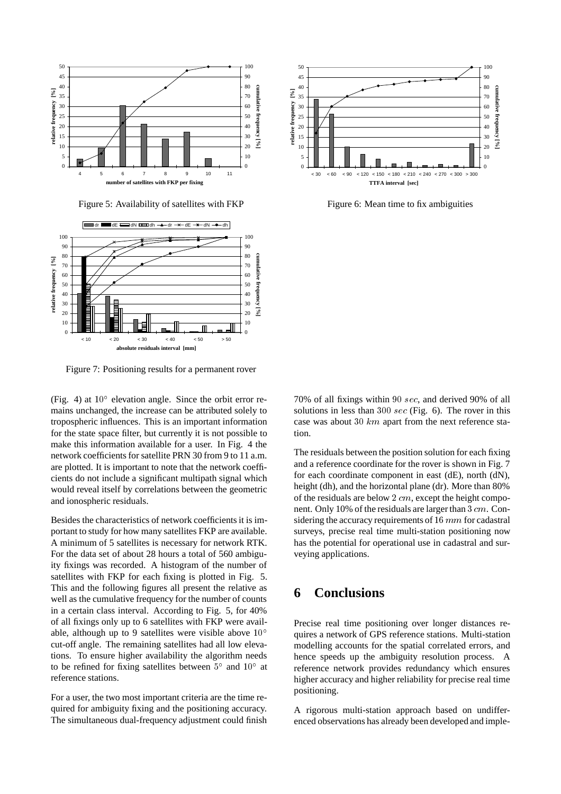

Figure 5: Availability of satellites with FKP



Figure 7: Positioning results for a permanent rover

(Fig. 4) at  $10^{\circ}$  elevation angle. Since the orbit error remains unchanged, the increase can be attributed solely to tropospheric influences. This is an important information for the state space filter, but currently it is not possible to make this information available for a user. In Fig. 4 the network coefficients for satellite PRN 30 from 9 to 11 a.m. are plotted. It is important to note that the network coefficients do not include a significant multipath signal which would reveal itself by correlations between the geometric and ionospheric residuals.

Besides the characteristics of network coefficients it is important to study for how many satellites FKP are available. A minimum of 5 satellites is necessary for network RTK. For the data set of about 28 hours a total of 560 ambiguity fixings was recorded. A histogram of the number of satellites with FKP for each fixing is plotted in Fig. 5. This and the following figures all present the relative as well as the cumulative frequency for the number of counts in a certain class interval. According to Fig. 5, for 40% of all fixings only up to 6 satellites with FKP were available, although up to 9 satellites were visible above <sup>10</sup> cut-off angle. The remaining satellites had all low elevations. To ensure higher availability the algorithm needs to be refined for fixing satellites between  $5^{\circ}$  and  $10^{\circ}$  at reference stations.

For a user, the two most important criteria are the time required for ambiguity fixing and the positioning accuracy. The simultaneous dual-frequency adjustment could finish



Figure 6: Mean time to fix ambiguities

70% of all fixings within <sup>90</sup> sec, and derived 90% of all solutions in less than <sup>300</sup> sec (Fig. 6). The rover in this case was about 30  $km$  apart from the next reference station.

The residuals between the position solution for each fixing and a reference coordinate for the rover is shown in Fig. 7 for each coordinate component in east (dE), north (dN), height (dh), and the horizontal plane (dr). More than 80% of the residuals are below <sup>2</sup> cm, except the height component. Only 10% of the residuals are larger than <sup>3</sup> cm. Considering the accuracy requirements of <sup>16</sup> mm for cadastral surveys, precise real time multi-station positioning now has the potential for operational use in cadastral and surveying applications.

## **6 Conclusions**

Precise real time positioning over longer distances requires a network of GPS reference stations. Multi-station modelling accounts for the spatial correlated errors, and hence speeds up the ambiguity resolution process. A reference network provides redundancy which ensures higher accuracy and higher reliability for precise real time positioning.

A rigorous multi-station approach based on undifferenced observations has already been developed and imple